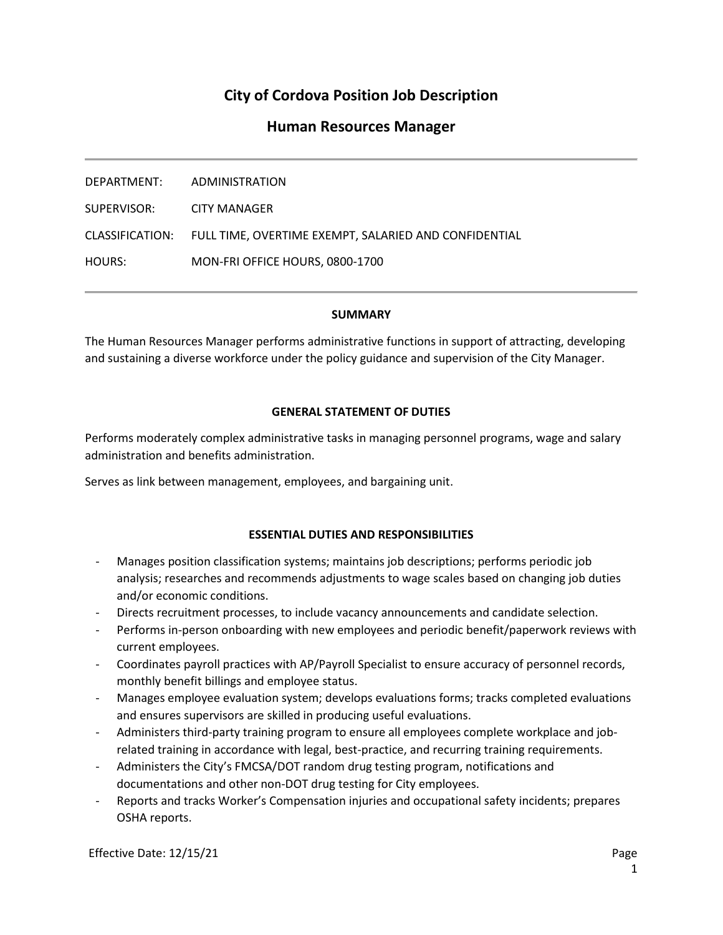# **City of Cordova Position Job Description**

## **Human Resources Manager**

| DEPARTMENT:     | ADMINISTRATION                                        |
|-----------------|-------------------------------------------------------|
| SUPERVISOR: I   | CITY MANAGER                                          |
| CLASSIFICATION: | FULL TIME, OVERTIME EXEMPT, SALARIED AND CONFIDENTIAL |
| HOURS:          | MON-FRI OFFICE HOURS, 0800-1700                       |

#### **SUMMARY**

The Human Resources Manager performs administrative functions in support of attracting, developing and sustaining a diverse workforce under the policy guidance and supervision of the City Manager.

### **GENERAL STATEMENT OF DUTIES**

Performs moderately complex administrative tasks in managing personnel programs, wage and salary administration and benefits administration.

Serves as link between management, employees, and bargaining unit.

### **ESSENTIAL DUTIES AND RESPONSIBILITIES**

- Manages position classification systems; maintains job descriptions; performs periodic job analysis; researches and recommends adjustments to wage scales based on changing job duties and/or economic conditions.
- Directs recruitment processes, to include vacancy announcements and candidate selection.
- Performs in-person onboarding with new employees and periodic benefit/paperwork reviews with current employees.
- Coordinates payroll practices with AP/Payroll Specialist to ensure accuracy of personnel records, monthly benefit billings and employee status.
- Manages employee evaluation system; develops evaluations forms; tracks completed evaluations and ensures supervisors are skilled in producing useful evaluations.
- Administers third-party training program to ensure all employees complete workplace and jobrelated training in accordance with legal, best-practice, and recurring training requirements.
- Administers the City's FMCSA/DOT random drug testing program, notifications and documentations and other non-DOT drug testing for City employees.
- Reports and tracks Worker's Compensation injuries and occupational safety incidents; prepares OSHA reports.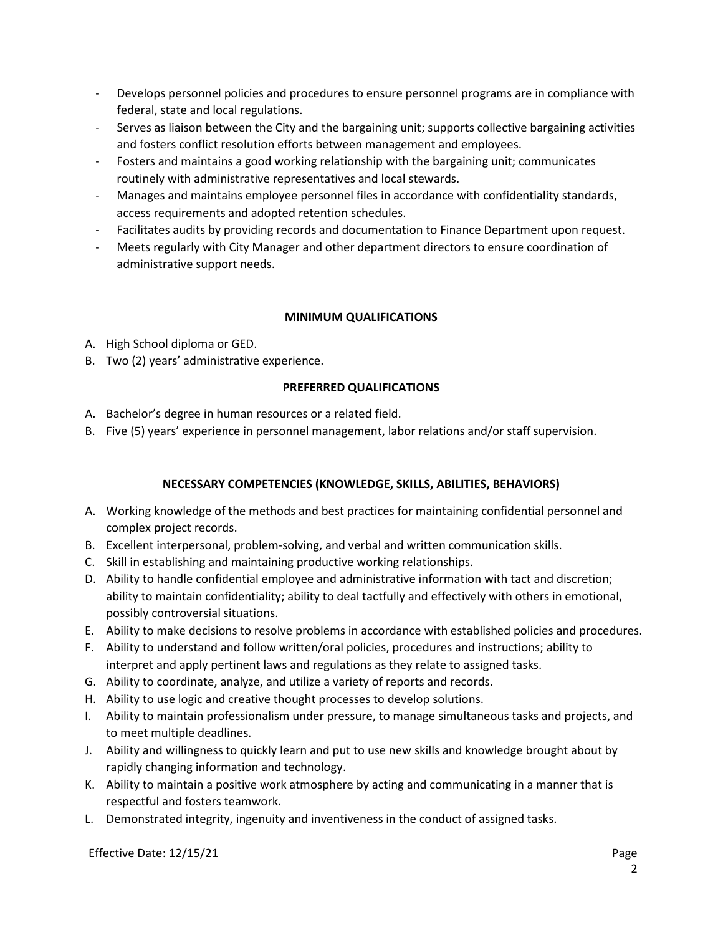- Develops personnel policies and procedures to ensure personnel programs are in compliance with federal, state and local regulations.
- Serves as liaison between the City and the bargaining unit; supports collective bargaining activities and fosters conflict resolution efforts between management and employees.
- Fosters and maintains a good working relationship with the bargaining unit; communicates routinely with administrative representatives and local stewards.
- Manages and maintains employee personnel files in accordance with confidentiality standards, access requirements and adopted retention schedules.
- Facilitates audits by providing records and documentation to Finance Department upon request.
- Meets regularly with City Manager and other department directors to ensure coordination of administrative support needs.

### **MINIMUM QUALIFICATIONS**

- A. High School diploma or GED.
- B. Two (2) years' administrative experience.

### **PREFERRED QUALIFICATIONS**

- A. Bachelor's degree in human resources or a related field.
- B. Five (5) years' experience in personnel management, labor relations and/or staff supervision.

### **NECESSARY COMPETENCIES (KNOWLEDGE, SKILLS, ABILITIES, BEHAVIORS)**

- A. Working knowledge of the methods and best practices for maintaining confidential personnel and complex project records.
- B. Excellent interpersonal, problem-solving, and verbal and written communication skills.
- C. Skill in establishing and maintaining productive working relationships.
- D. Ability to handle confidential employee and administrative information with tact and discretion; ability to maintain confidentiality; ability to deal tactfully and effectively with others in emotional, possibly controversial situations.
- E. Ability to make decisions to resolve problems in accordance with established policies and procedures.
- F. Ability to understand and follow written/oral policies, procedures and instructions; ability to interpret and apply pertinent laws and regulations as they relate to assigned tasks.
- G. Ability to coordinate, analyze, and utilize a variety of reports and records.
- H. Ability to use logic and creative thought processes to develop solutions.
- I. Ability to maintain professionalism under pressure, to manage simultaneous tasks and projects, and to meet multiple deadlines.
- J. Ability and willingness to quickly learn and put to use new skills and knowledge brought about by rapidly changing information and technology.
- K. Ability to maintain a positive work atmosphere by acting and communicating in a manner that is respectful and fosters teamwork.
- L. Demonstrated integrity, ingenuity and inventiveness in the conduct of assigned tasks.